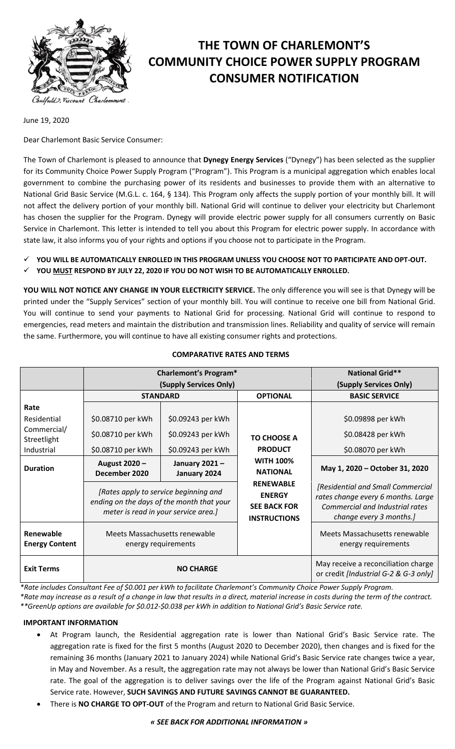

# **THE TOWN OF CHARLEMONT'S COMMUNITY CHOICE POWER SUPPLY PROGRAM CONSUMER NOTIFICATION**

June 19, 2020

Dear Charlemont Basic Service Consumer:

The Town of Charlemont is pleased to announce that **Dynegy Energy Services** ("Dynegy") has been selected as the supplier for its Community Choice Power Supply Program ("Program"). This Program is a municipal aggregation which enables local government to combine the purchasing power of its residents and businesses to provide them with an alternative to National Grid Basic Service (M.G.L. c. 164, § 134). This Program only affects the supply portion of your monthly bill. It will not affect the delivery portion of your monthly bill. National Grid will continue to deliver your electricity but Charlemont has chosen the supplier for the Program. Dynegy will provide electric power supply for all consumers currently on Basic Service in Charlemont. This letter is intended to tell you about this Program for electric power supply. In accordance with state law, it also informs you of your rights and options if you choose not to participate in the Program.

**YOU WILL BE AUTOMATICALLY ENROLLED IN THIS PROGRAM UNLESS YOU CHOOSE NOT TO PARTICIPATE AND OPT-OUT.**

**YOU MUST RESPOND BY JULY 22, 2020 IF YOU DO NOT WISH TO BE AUTOMATICALLY ENROLLED.**

**YOU WILL NOT NOTICE ANY CHANGE IN YOUR ELECTRICITY SERVICE.** The only difference you will see is that Dynegy will be printed under the "Supply Services" section of your monthly bill. You will continue to receive one bill from National Grid. You will continue to send your payments to National Grid for processing. National Grid will continue to respond to emergencies, read meters and maintain the distribution and transmission lines. Reliability and quality of service will remain the same. Furthermore, you will continue to have all existing consumer rights and protections.

# **COMPARATIVE RATES AND TERMS**

|                                    | <b>Charlemont's Program*</b>                                                                                               |                               |                                                                                 | <b>National Grid**</b>                                                                                                                |
|------------------------------------|----------------------------------------------------------------------------------------------------------------------------|-------------------------------|---------------------------------------------------------------------------------|---------------------------------------------------------------------------------------------------------------------------------------|
|                                    | (Supply Services Only)                                                                                                     |                               |                                                                                 | (Supply Services Only)                                                                                                                |
|                                    | <b>STANDARD</b>                                                                                                            |                               | <b>OPTIONAL</b>                                                                 | <b>BASIC SERVICE</b>                                                                                                                  |
| Rate                               |                                                                                                                            |                               |                                                                                 |                                                                                                                                       |
| Residential                        | \$0.08710 per kWh                                                                                                          | \$0.09243 per kWh             |                                                                                 | \$0.09898 per kWh                                                                                                                     |
| Commercial/<br>Streetlight         | \$0.08710 per kWh                                                                                                          | \$0.09243 per kWh             | <b>TO CHOOSE A</b>                                                              | \$0.08428 per kWh                                                                                                                     |
| Industrial                         | \$0.08710 per kWh                                                                                                          | \$0.09243 per kWh             | <b>PRODUCT</b>                                                                  | \$0.08070 per kWh                                                                                                                     |
| <b>Duration</b>                    | August 2020 -<br>December 2020                                                                                             | January 2021-<br>January 2024 | <b>WITH 100%</b><br><b>NATIONAL</b>                                             | May 1, 2020 - October 31, 2020                                                                                                        |
|                                    | [Rates apply to service beginning and<br>ending on the days of the month that your<br>meter is read in your service area.] |                               | <b>RENEWABLE</b><br><b>ENERGY</b><br><b>SEE BACK FOR</b><br><b>INSTRUCTIONS</b> | [Residential and Small Commercial<br>rates change every 6 months. Large<br>Commercial and Industrial rates<br>change every 3 months.] |
| Renewable<br><b>Energy Content</b> | Meets Massachusetts renewable<br>energy requirements                                                                       |                               |                                                                                 | Meets Massachusetts renewable<br>energy requirements                                                                                  |
| <b>Exit Terms</b>                  | <b>NO CHARGE</b>                                                                                                           |                               |                                                                                 | May receive a reconciliation charge<br>or credit [Industrial G-2 & G-3 only]                                                          |

*\*Rate includes Consultant Fee of \$0.001 per kWh to facilitate Charlemont's Community Choice Power Supply Program.*

*\*Rate may increase as a result of a change in law that results in a direct, material increase in costs during the term of the contract. \*\*GreenUp options are available for \$0.012-\$0.038 per kWh in addition to National Grid's Basic Service rate.*

# **IMPORTANT INFORMATION**

- At Program launch, the Residential aggregation rate is lower than National Grid's Basic Service rate. The aggregation rate is fixed for the first 5 months (August 2020 to December 2020), then changes and is fixed for the remaining 36 months (January 2021 to January 2024) while National Grid's Basic Service rate changes twice a year, in May and November. As a result, the aggregation rate may not always be lower than National Grid's Basic Service rate. The goal of the aggregation is to deliver savings over the life of the Program against National Grid's Basic Service rate. However, **SUCH SAVINGS AND FUTURE SAVINGS CANNOT BE GUARANTEED.**
- There is **NO CHARGE TO OPT-OUT** of the Program and return to National Grid Basic Service.